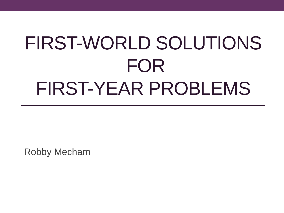# FIRST-WORLD SOLUTIONS FOR FIRST-YEAR PROBLEMS

Robby Mecham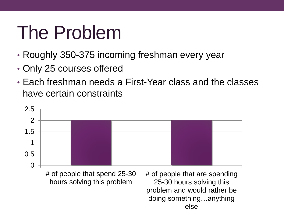# The Problem

- Roughly 350-375 incoming freshman every year
- Only 25 courses offered
- Each freshman needs a First-Year class and the classes have certain constraints

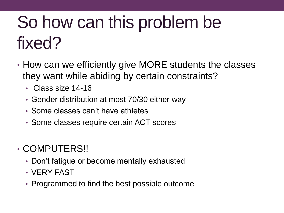# So how can this problem be fixed?

- How can we efficiently give MORE students the classes they want while abiding by certain constraints?
	- Class size 14-16
	- Gender distribution at most 70/30 either way
	- Some classes can't have athletes
	- Some classes require certain ACT scores
- COMPUTERS!!
	- Don't fatigue or become mentally exhausted
	- VERY FAST
	- Programmed to find the best possible outcome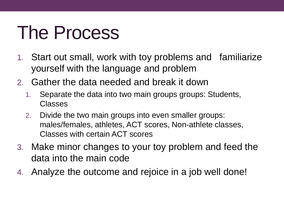# The Process

- 1. Start out small, work with toy problems and familiarize yourself with the language and problem
- 2. Gather the data needed and break it down
	- 1. Separate the data into two main groups groups: Students, Classes
	- 2. Divide the two main groups into even smaller groups: males/females, athletes, ACT scores, Non-athlete classes, Classes with certain ACT scores
- 3. Make minor changes to your toy problem and feed the data into the main code
- 4. Analyze the outcome and rejoice in a job well done!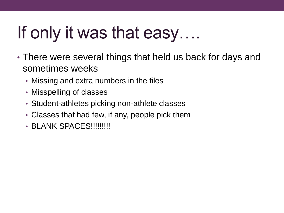## If only it was that easy….

- There were several things that held us back for days and sometimes weeks
	- Missing and extra numbers in the files
	- Misspelling of classes
	- Student-athletes picking non-athlete classes
	- Classes that had few, if any, people pick them
	- BLANK SPACES!!!!!!!!!!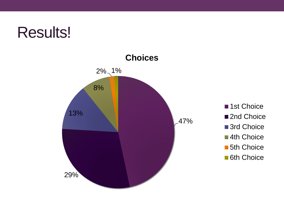### Results!



■1st Choice ■2nd Choice ■ 3rd Choice **4th Choice 5th Choice 6th Choice**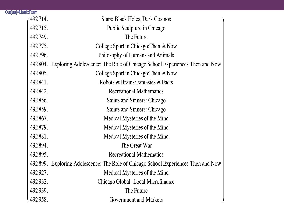| Out[88]//MatrixForm= |                                                                                     |
|----------------------|-------------------------------------------------------------------------------------|
| 492714.              | <b>Stars: Black Holes, Dark Cosmos</b>                                              |
| 492715.              | Public Sculpture in Chicago                                                         |
| 492749.              | The Future                                                                          |
| 492775.              | College Sport in Chicago: Then & Now                                                |
| 492796.              | Philosophy of Humans and Animals                                                    |
|                      | 492 804. Exploring Adolescence: The Role of Chicago School Experiences Then and Now |
| 492805.              | College Sport in Chicago: Then & Now                                                |
| 492841.              | Robots & Brains: Fantasies & Facts                                                  |
| 492842.              | <b>Recreational Mathematics</b>                                                     |
| 492856.              | Saints and Sinners: Chicago                                                         |
| 492859.              | Saints and Sinners: Chicago                                                         |
| 492867.              | Medical Mysteries of the Mind                                                       |
| 492879.              | Medical Mysteries of the Mind                                                       |
| 492881.              | Medical Mysteries of the Mind                                                       |
| 492894.              | The Great War                                                                       |
| 492895.              | <b>Recreational Mathematics</b>                                                     |
|                      | 492899. Exploring Adolescence: The Role of Chicago School Experiences Then and Now  |
| 492927.              | Medical Mysteries of the Mind                                                       |
| 492932.              | Chicago Global–Local Microfinance                                                   |
| 492939.              | The Future                                                                          |
| 492958.              | <b>Government and Markets</b>                                                       |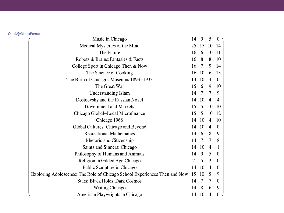#### Out[92]//MatrixForm=

| Music in Chicago                                                           | 14     | 9             | 5              | 0                                          |
|----------------------------------------------------------------------------|--------|---------------|----------------|--------------------------------------------|
| Medical Mysteries of the Mind                                              | 25     | 15            | 10             | 14                                         |
| The Future                                                                 | 16     | 6             | 10             | -11                                        |
| Robots & Brains: Fantasies & Facts                                         | 16     | 8             | 8              | 10                                         |
| College Sport in Chicago: Then & Now                                       | 16     | $\tau$        | 9              | 14                                         |
| The Science of Cooking                                                     | 16     | 10            | 6              | 13                                         |
| The Birth of Chicagos Museums 1893–1933                                    | 14     | 10            | $\overline{4}$ | $\boldsymbol{0}$                           |
| The Great War                                                              | 15     | 6             | 9              | 10                                         |
| <b>Understanding Islam</b>                                                 | 14     | 7             | 7              | 9                                          |
| Dostoevsky and the Russian Novel                                           | 14     | 10            | 4              | 4                                          |
| <b>Government and Markets</b>                                              | 15     | 5             | 10             | 10                                         |
| Chicago Global-Local Microfinance                                          | 15     | 5             | 10             | 12                                         |
| Chicago 1968                                                               | 14     | 10            | $\overline{4}$ | 10                                         |
| Global Cultures: Chicago and Beyond                                        | 14     | 10            | 4              | $\boldsymbol{0}$                           |
| <b>Recreational Mathematics</b>                                            | 14     | 6             | 8              | 9                                          |
| <b>Rhetoric and Citizenship</b>                                            | 14     | $\tau$        | 7              | 8                                          |
| Saints and Sinners: Chicago                                                | 14     | 10            | 4              | $\mathbf{1}$                               |
| Philosophy of Humans and Animals                                           | 14     | 9             | 5              | $\boldsymbol{0}$                           |
| Religion in Gilded Age Chicago                                             | $\tau$ | 5             | $\overline{2}$ | $\theta$                                   |
| Public Sculpture in Chicago                                                | 14     | 10            | 4              | $\theta$                                   |
| Exploring Adolescence: The Role of Chicago School Experiences Then and Now |        | 10            | 5              | 9                                          |
| <b>Stars: Black Holes, Dark Cosmos</b>                                     | 14     | 7             | 7              | $\theta$                                   |
| Writing Chicago                                                            | 14     | 8             | 6              | 9                                          |
| American Playwrights in Chicago                                            | 14     | <sup>10</sup> | 4              | $\overline{0}$<br>$\overline{\phantom{a}}$ |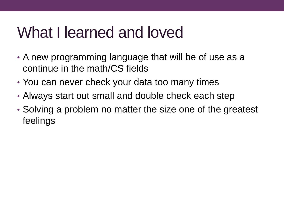## What I learned and loved

- A new programming language that will be of use as a continue in the math/CS fields
- You can never check your data too many times
- Always start out small and double check each step
- Solving a problem no matter the size one of the greatest feelings